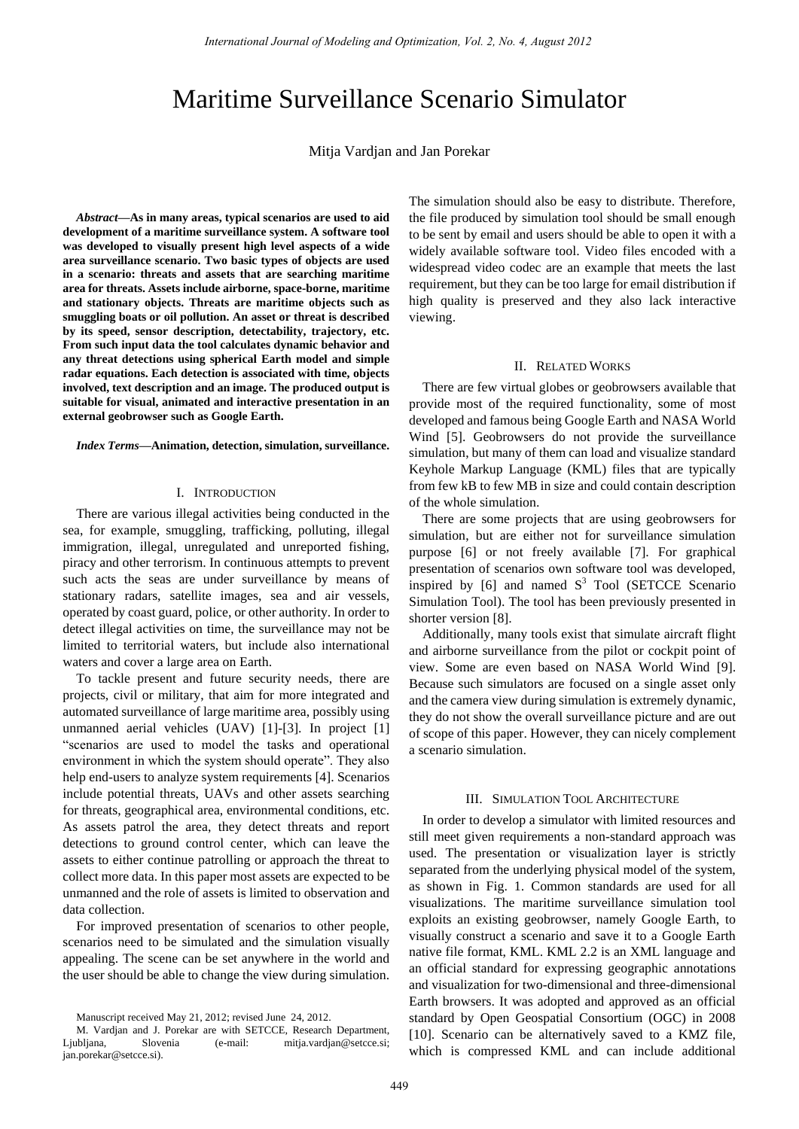# Maritime Surveillance Scenario Simulator

Mitja Vardjan and Jan Porekar

*Abstract***—As in many areas, typical scenarios are used to aid development of a maritime surveillance system. A software tool was developed to visually present high level aspects of a wide area surveillance scenario. Two basic types of objects are used in a scenario: threats and assets that are searching maritime area for threats. Assets include airborne, space-borne, maritime and stationary objects. Threats are maritime objects such as smuggling boats or oil pollution. An asset or threat is described by its speed, sensor description, detectability, trajectory, etc. From such input data the tool calculates dynamic behavior and any threat detections using spherical Earth model and simple radar equations. Each detection is associated with time, objects involved, text description and an image. The produced output is suitable for visual, animated and interactive presentation in an external geobrowser such as Google Earth.** 

*Index Terms***—Animation, detection, simulation, surveillance.** 

#### I. INTRODUCTION

There are various illegal activities being conducted in the sea, for example, smuggling, trafficking, polluting, illegal immigration, illegal, unregulated and unreported fishing, piracy and other terrorism. In continuous attempts to prevent such acts the seas are under surveillance by means of stationary radars, satellite images, sea and air vessels, operated by coast guard, police, or other authority. In order to detect illegal activities on time, the surveillance may not be limited to territorial waters, but include also international waters and cover a large area on Earth.

To tackle present and future security needs, there are projects, civil or military, that aim for more integrated and automated surveillance of large maritime area, possibly using unmanned aerial vehicles (UAV) [1]-[3]. In project [1] "scenarios are used to model the tasks and operational environment in which the system should operate". They also help end-users to analyze system requirements [4]. Scenarios include potential threats, UAVs and other assets searching for threats, geographical area, environmental conditions, etc. As assets patrol the area, they detect threats and report detections to ground control center, which can leave the assets to either continue patrolling or approach the threat to collect more data. In this paper most assets are expected to be unmanned and the role of assets is limited to observation and data collection.

For improved presentation of scenarios to other people, scenarios need to be simulated and the simulation visually appealing. The scene can be set anywhere in the world and the user should be able to change the view during simulation. The simulation should also be easy to distribute. Therefore, the file produced by simulation tool should be small enough to be sent by email and users should be able to open it with a widely available software tool. Video files encoded with a widespread video codec are an example that meets the last requirement, but they can be too large for email distribution if high quality is preserved and they also lack interactive viewing.

#### II. RELATED WORKS

There are few virtual globes or geobrowsers available that provide most of the required functionality, some of most developed and famous being Google Earth and NASA World Wind [5]. Geobrowsers do not provide the surveillance simulation, but many of them can load and visualize standard Keyhole Markup Language (KML) files that are typically from few kB to few MB in size and could contain description of the whole simulation.

There are some projects that are using geobrowsers for simulation, but are either not for surveillance simulation purpose [6] or not freely available [7]. For graphical presentation of scenarios own software tool was developed, inspired by  $[6]$  and named  $S<sup>3</sup>$  Tool (SETCCE Scenario Simulation Tool). The tool has been previously presented in shorter version [8].

Additionally, many tools exist that simulate aircraft flight and airborne surveillance from the pilot or cockpit point of view. Some are even based on NASA World Wind [9]. Because such simulators are focused on a single asset only and the camera view during simulation is extremely dynamic, they do not show the overall surveillance picture and are out of scope of this paper. However, they can nicely complement a scenario simulation.

## III. SIMULATION TOOL ARCHITECTURE

In order to develop a simulator with limited resources and still meet given requirements a non-standard approach was used. The presentation or visualization layer is strictly separated from the underlying physical model of the system, as shown in Fig. 1. Common standards are used for all visualizations. The maritime surveillance simulation tool exploits an existing geobrowser, namely Google Earth, to visually construct a scenario and save it to a Google Earth native file format, KML. KML 2.2 is an XML language and an official standard for expressing geographic annotations and visualization for two-dimensional and three-dimensional Earth browsers. It was adopted and approved as an official standard by Open Geospatial Consortium (OGC) in 2008 [10]. Scenario can be alternatively saved to a KMZ file, which is compressed KML and can include additional

Manuscript received May 21, 2012; revised June 24, 2012.

M. Vardjan and J. Porekar are with SETCCE, Research Department, Ljubljana, Slovenia (e-mail: mitja.vardjan@setcce.si; jan.porekar@setcce.si).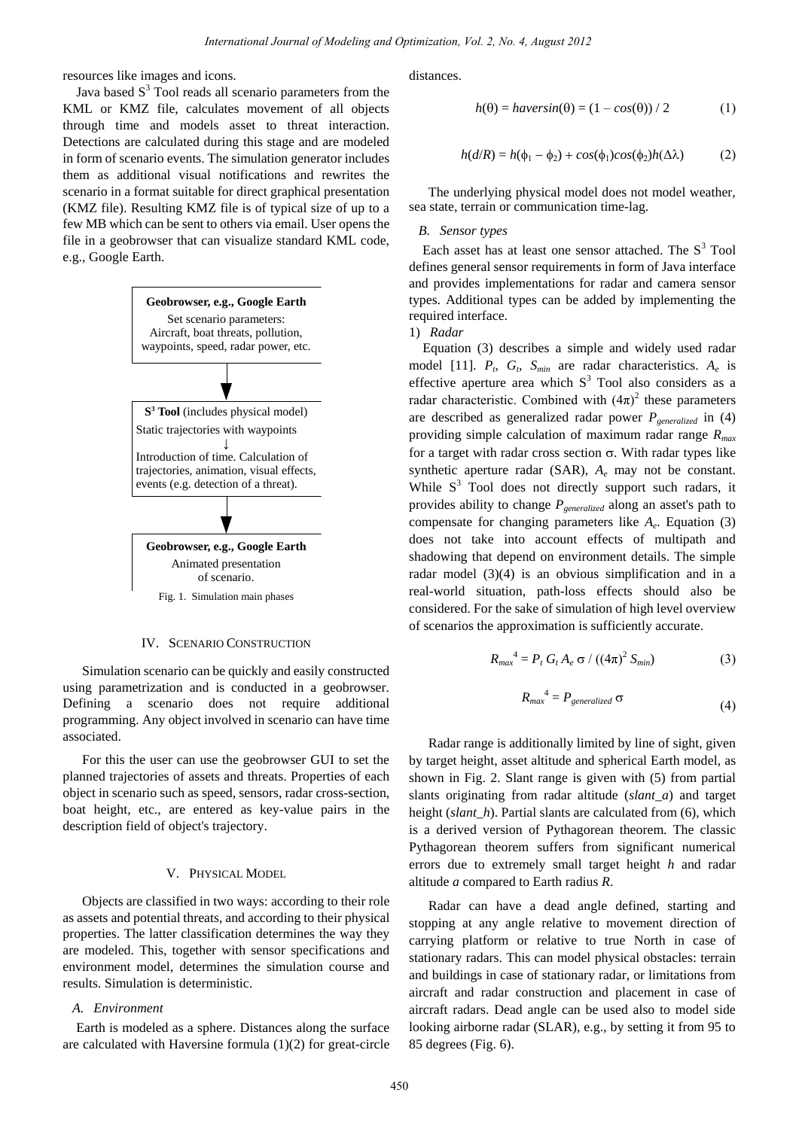resources like images and icons.

Java based  $S<sup>3</sup>$  Tool reads all scenario parameters from the KML or KMZ file, calculates movement of all objects through time and models asset to threat interaction. Detections are calculated during this stage and are modeled in form of scenario events. The simulation generator includes them as additional visual notifications and rewrites the scenario in a format suitable for direct graphical presentation (KMZ file). Resulting KMZ file is of typical size of up to a few MB which can be sent to others via email. User opens the file in a geobrowser that can visualize standard KML code, e.g., Google Earth.



#### IV. SCENARIO CONSTRUCTION

Simulation scenario can be quickly and easily constructed using parametrization and is conducted in a geobrowser. Defining a scenario does not require additional programming. Any object involved in scenario can have time associated.

For this the user can use the geobrowser GUI to set the planned trajectories of assets and threats. Properties of each object in scenario such as speed, sensors, radar cross-section, boat height, etc., are entered as key-value pairs in the description field of object's trajectory.

# V. PHYSICAL MODEL

Objects are classified in two ways: according to their role as assets and potential threats, and according to their physical properties. The latter classification determines the way they are modeled. This, together with sensor specifications and environment model, determines the simulation course and results. Simulation is deterministic.

# *A. Environment*

Earth is modeled as a sphere. Distances along the surface are calculated with Haversine formula (1)(2) for great-circle distances.

$$
h(\theta) = \text{haversin}(\theta) = (1 - \cos(\theta)) / 2 \tag{1}
$$

$$
h(d/R) = h(\phi_1 - \phi_2) + \cos(\phi_1)\cos(\phi_2)h(\Delta\lambda)
$$
 (2)

The underlying physical model does not model weather, sea state, terrain or communication time-lag.

#### *B. Sensor types*

Each asset has at least one sensor attached. The  $S<sup>3</sup>$  Tool defines general sensor requirements in form of Java interface and provides implementations for radar and camera sensor types. Additional types can be added by implementing the required interface.

1) *Radar* 

Equation (3) describes a simple and widely used radar model [11].  $P_t$ ,  $G_t$ ,  $S_{min}$  are radar characteristics.  $A_e$  is effective aperture area which  $S<sup>3</sup>$  Tool also considers as a radar characteristic. Combined with  $(4\pi)^2$  these parameters are described as generalized radar power *Pgeneralized* in (4) providing simple calculation of maximum radar range *Rmax* for a target with radar cross section  $\sigma$ . With radar types like synthetic aperture radar (SAR), *A<sup>e</sup>* may not be constant. While  $S<sup>3</sup>$  Tool does not directly support such radars, it provides ability to change *Pgeneralized* along an asset's path to compensate for changing parameters like *A<sup>e</sup>* . Equation (3) does not take into account effects of multipath and shadowing that depend on environment details. The simple radar model (3)(4) is an obvious simplification and in a real-world situation, path-loss effects should also be considered. For the sake of simulation of high level overview of scenarios the approximation is sufficiently accurate.

$$
R_{max}^{4} = P_t G_t A_e \sigma / ((4\pi)^2 S_{min})
$$
 (3)

$$
R_{max}^4 = P_{generalized} \sigma \tag{4}
$$

Radar range is additionally limited by line of sight, given by target height, asset altitude and spherical Earth model, as shown in Fig. 2. Slant range is given with (5) from partial slants originating from radar altitude (*slant\_a*) and target height *(slant h)*. Partial slants are calculated from (6), which is a derived version of Pythagorean theorem. The classic Pythagorean theorem suffers from significant numerical errors due to extremely small target height *h* and radar altitude *a* compared to Earth radius *R*.

Radar can have a dead angle defined, starting and stopping at any angle relative to movement direction of carrying platform or relative to true North in case of stationary radars. This can model physical obstacles: terrain and buildings in case of stationary radar, or limitations from aircraft and radar construction and placement in case of aircraft radars. Dead angle can be used also to model side looking airborne radar (SLAR), e.g., by setting it from 95 to 85 degrees (Fig. 6).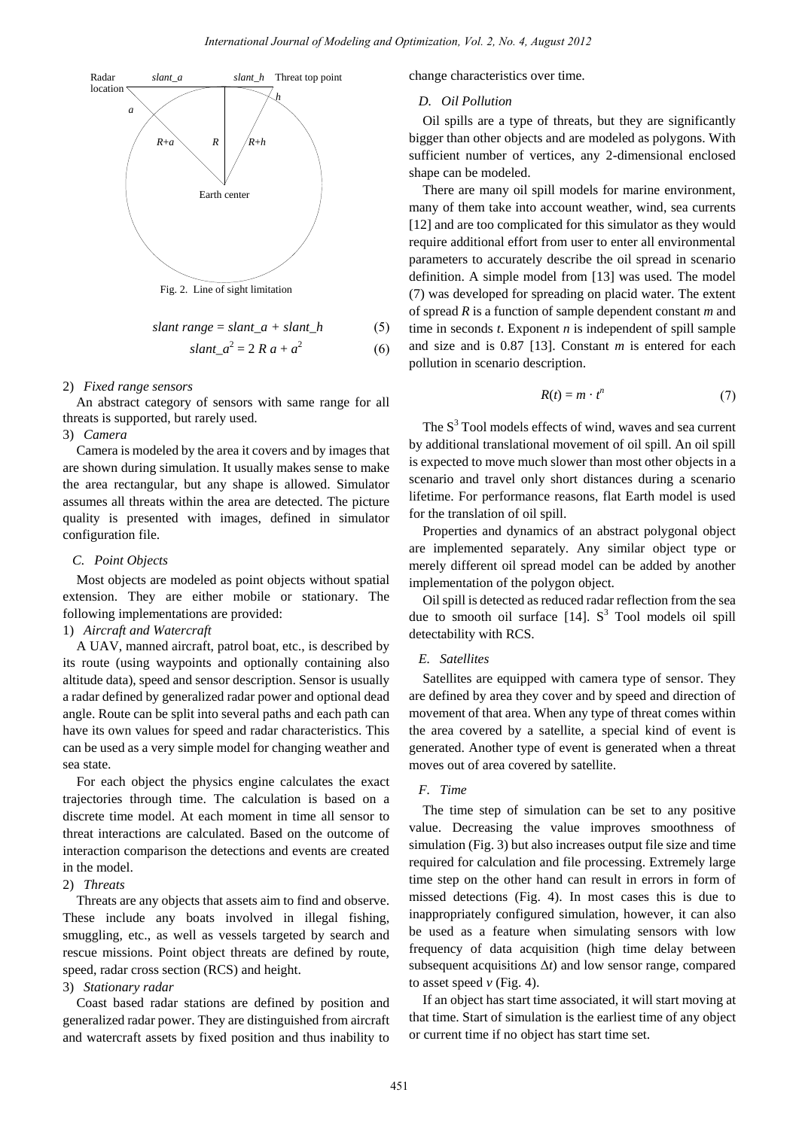

$$
slant range = slant_a + slant_h
$$
 (5)

$$
slant_a^2 = 2 Ra + a^2 \tag{6}
$$

### 2) *Fixed range sensors*

An abstract category of sensors with same range for all threats is supported, but rarely used.

# 3) *Camera*

Camera is modeled by the area it covers and by images that are shown during simulation. It usually makes sense to make the area rectangular, but any shape is allowed. Simulator assumes all threats within the area are detected. The picture quality is presented with images, defined in simulator configuration file.

### *C. Point Objects*

Most objects are modeled as point objects without spatial extension. They are either mobile or stationary. The following implementations are provided:

# 1) *Aircraft and Watercraft*

A UAV, manned aircraft, patrol boat, etc., is described by its route (using waypoints and optionally containing also altitude data), speed and sensor description. Sensor is usually a radar defined by generalized radar power and optional dead angle. Route can be split into several paths and each path can have its own values for speed and radar characteristics. This can be used as a very simple model for changing weather and sea state.

For each object the physics engine calculates the exact trajectories through time. The calculation is based on a discrete time model. At each moment in time all sensor to threat interactions are calculated. Based on the outcome of interaction comparison the detections and events are created in the model.

## 2) *Threats*

Threats are any objects that assets aim to find and observe. These include any boats involved in illegal fishing, smuggling, etc., as well as vessels targeted by search and rescue missions. Point object threats are defined by route, speed, radar cross section (RCS) and height.

# 3) *Stationary radar*

Coast based radar stations are defined by position and generalized radar power. They are distinguished from aircraft and watercraft assets by fixed position and thus inability to change characteristics over time.

# *D. Oil Pollution*

Oil spills are a type of threats, but they are significantly bigger than other objects and are modeled as polygons. With sufficient number of vertices, any 2-dimensional enclosed shape can be modeled.

There are many oil spill models for marine environment, many of them take into account weather, wind, sea currents [12] and are too complicated for this simulator as they would require additional effort from user to enter all environmental parameters to accurately describe the oil spread in scenario definition. A simple model from [13] was used. The model (7) was developed for spreading on placid water. The extent of spread *R* is a function of sample dependent constant *m* and time in seconds *t*. Exponent *n* is independent of spill sample and size and is 0.87 [13]. Constant *m* is entered for each pollution in scenario description.

$$
R(t) = m \cdot t^n \tag{7}
$$

The  $S<sup>3</sup>$  Tool models effects of wind, waves and sea current by additional translational movement of oil spill. An oil spill is expected to move much slower than most other objects in a scenario and travel only short distances during a scenario lifetime. For performance reasons, flat Earth model is used for the translation of oil spill.

Properties and dynamics of an abstract polygonal object are implemented separately. Any similar object type or merely different oil spread model can be added by another implementation of the polygon object.

Oil spill is detected as reduced radar reflection from the sea due to smooth oil surface  $[14]$ . S<sup>3</sup> Tool models oil spill detectability with RCS.

## *E. Satellites*

Satellites are equipped with camera type of sensor. They are defined by area they cover and by speed and direction of movement of that area. When any type of threat comes within the area covered by a satellite, a special kind of event is generated. Another type of event is generated when a threat moves out of area covered by satellite.

# *F. Time*

The time step of simulation can be set to any positive value. Decreasing the value improves smoothness of simulation (Fig. 3) but also increases output file size and time required for calculation and file processing. Extremely large time step on the other hand can result in errors in form of missed detections (Fig. 4). In most cases this is due to inappropriately configured simulation, however, it can also be used as a feature when simulating sensors with low frequency of data acquisition (high time delay between subsequent acquisitions  $\Delta t$ ) and low sensor range, compared to asset speed  $\nu$  (Fig. 4).

If an object has start time associated, it will start moving at that time. Start of simulation is the earliest time of any object or current time if no object has start time set.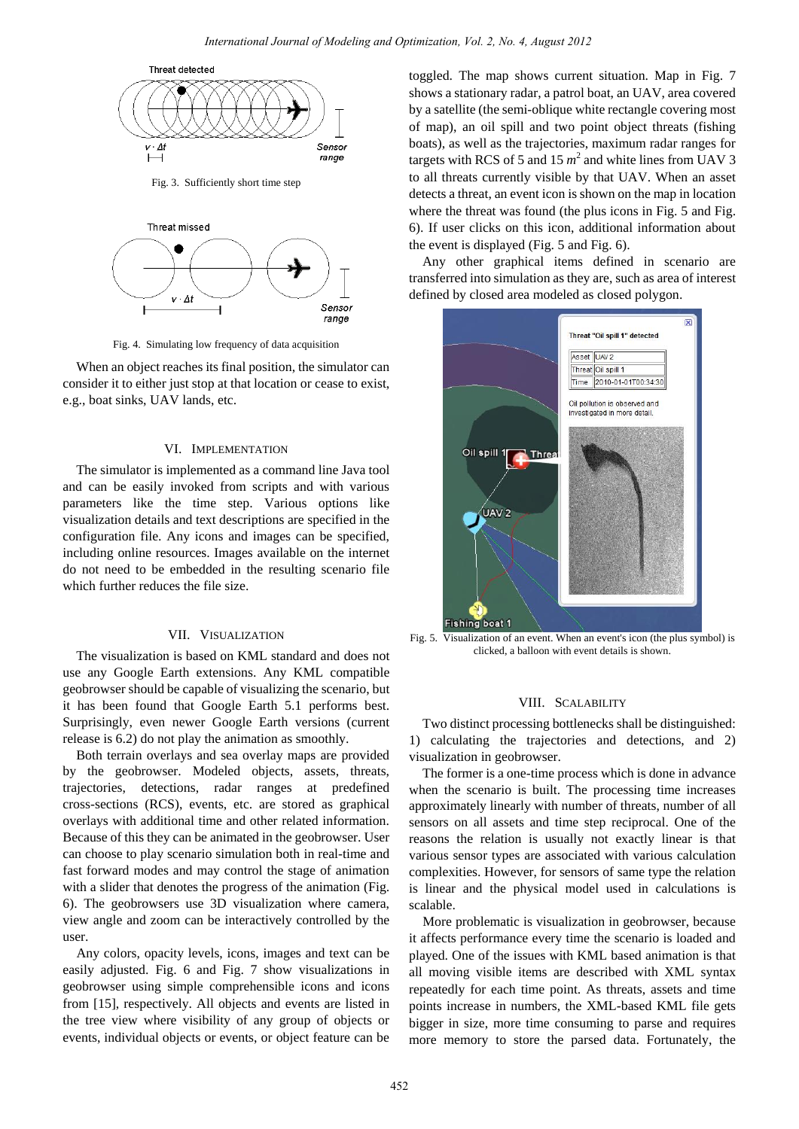



Fig. 4. Simulating low frequency of data acquisition

When an object reaches its final position, the simulator can consider it to either just stop at that location or cease to exist, e.g., boat sinks, UAV lands, etc.

# VI. IMPLEMENTATION

The simulator is implemented as a command line Java tool and can be easily invoked from scripts and with various parameters like the time step. Various options like visualization details and text descriptions are specified in the configuration file. Any icons and images can be specified, including online resources. Images available on the internet do not need to be embedded in the resulting scenario file which further reduces the file size.

#### VII. VISUALIZATION

The visualization is based on KML standard and does not use any Google Earth extensions. Any KML compatible geobrowser should be capable of visualizing the scenario, but it has been found that Google Earth 5.1 performs best. Surprisingly, even newer Google Earth versions (current release is 6.2) do not play the animation as smoothly.

Both terrain overlays and sea overlay maps are provided by the geobrowser. Modeled objects, assets, threats, trajectories, detections, radar ranges at predefined cross-sections (RCS), events, etc. are stored as graphical overlays with additional time and other related information. Because of this they can be animated in the geobrowser. User can choose to play scenario simulation both in real-time and fast forward modes and may control the stage of animation with a slider that denotes the progress of the animation (Fig. 6). The geobrowsers use 3D visualization where camera, view angle and zoom can be interactively controlled by the user.

Any colors, opacity levels, icons, images and text can be easily adjusted. Fig. 6 and Fig. 7 show visualizations in geobrowser using simple comprehensible icons and icons from [15], respectively. All objects and events are listed in the tree view where visibility of any group of objects or events, individual objects or events, or object feature can be toggled. The map shows current situation. Map in Fig. 7 shows a stationary radar, a patrol boat, an UAV, area covered by a satellite (the semi-oblique white rectangle covering most of map), an oil spill and two point object threats (fishing boats), as well as the trajectories, maximum radar ranges for targets with RCS of 5 and 15  $m^2$  and white lines from UAV 3 to all threats currently visible by that UAV. When an asset detects a threat, an event icon is shown on the map in location where the threat was found (the plus icons in Fig. 5 and Fig. 6). If user clicks on this icon, additional information about the event is displayed (Fig. 5 and Fig. 6).

Any other graphical items defined in scenario are transferred into simulation as they are, such as area of interest defined by closed area modeled as closed polygon.



Fig. 5. Visualization of an event. When an event's icon (the plus symbol) is clicked, a balloon with event details is shown.

#### VIII. SCALABILITY

Two distinct processing bottlenecks shall be distinguished: 1) calculating the trajectories and detections, and 2) visualization in geobrowser.

The former is a one-time process which is done in advance when the scenario is built. The processing time increases approximately linearly with number of threats, number of all sensors on all assets and time step reciprocal. One of the reasons the relation is usually not exactly linear is that various sensor types are associated with various calculation complexities. However, for sensors of same type the relation is linear and the physical model used in calculations is scalable.

More problematic is visualization in geobrowser, because it affects performance every time the scenario is loaded and played. One of the issues with KML based animation is that all moving visible items are described with XML syntax repeatedly for each time point. As threats, assets and time points increase in numbers, the XML-based KML file gets bigger in size, more time consuming to parse and requires more memory to store the parsed data. Fortunately, the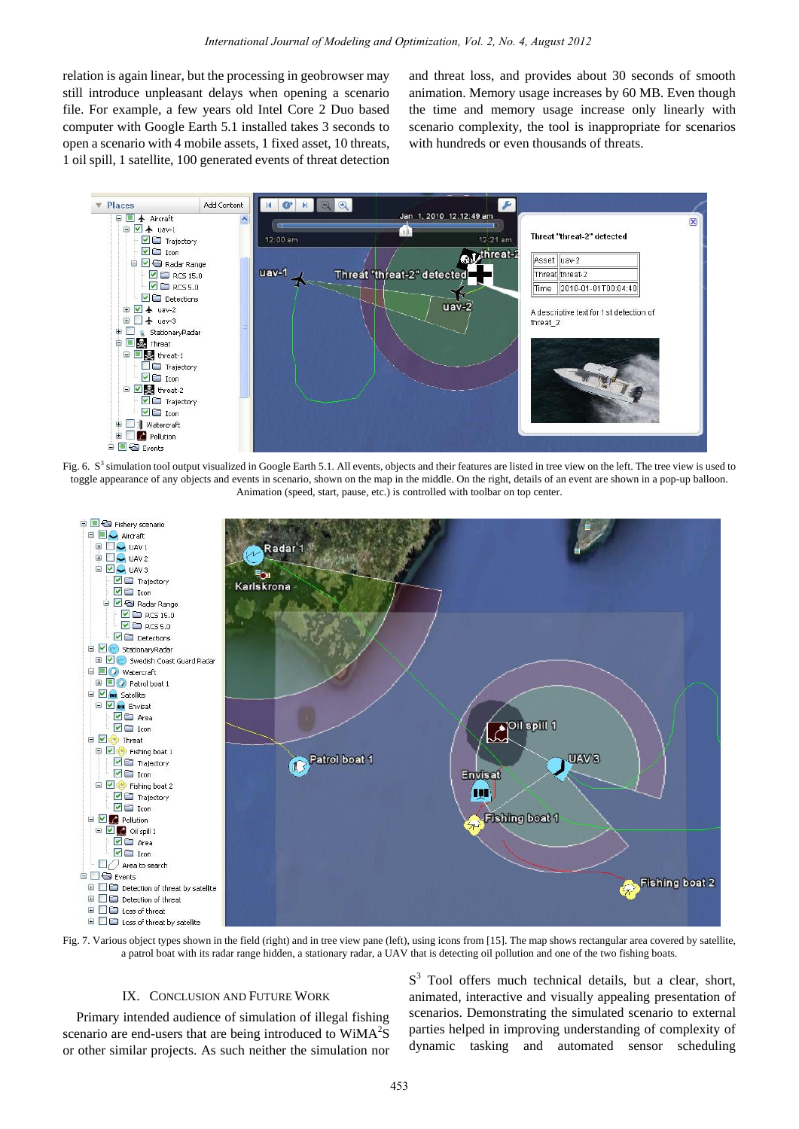relation is again linear, but the processing in geobrowser may still introduce unpleasant delays when opening a scenario file. For example, a few years old Intel Core 2 Duo based computer with Google Earth 5.1 installed takes 3 seconds to open a scenario with 4 mobile assets, 1 fixed asset, 10 threats, 1 oil spill, 1 satellite, 100 generated events of threat detection and threat loss, and provides about 30 seconds of smooth animation. Memory usage increases by 60 MB. Even though the time and memory usage increase only linearly with scenario complexity, the tool is inappropriate for scenarios with hundreds or even thousands of threats.



Fig. 6.  $S<sup>3</sup>$  simulation tool output visualized in Google Earth 5.1. All events, objects and their features are listed in tree view on the left. The tree view is used to toggle appearance of any objects and events in scenario, shown on the map in the middle. On the right, details of an event are shown in a pop-up balloon. Animation (speed, start, pause, etc.) is controlled with toolbar on top center.



Fig. 7. Various object types shown in the field (right) and in tree view pane (left), using icons from [15]. The map shows rectangular area covered by satellite, a patrol boat with its radar range hidden, a stationary radar, a UAV that is detecting oil pollution and one of the two fishing boats.

#### IX. CONCLUSION AND FUTURE WORK

Primary intended audience of simulation of illegal fishing scenario are end-users that are being introduced to  $WiMA<sup>2</sup>S$ or other similar projects. As such neither the simulation nor

 $S<sup>3</sup>$  Tool offers much technical details, but a clear, short, animated, interactive and visually appealing presentation of scenarios. Demonstrating the simulated scenario to external parties helped in improving understanding of complexity of dynamic tasking and automated sensor scheduling